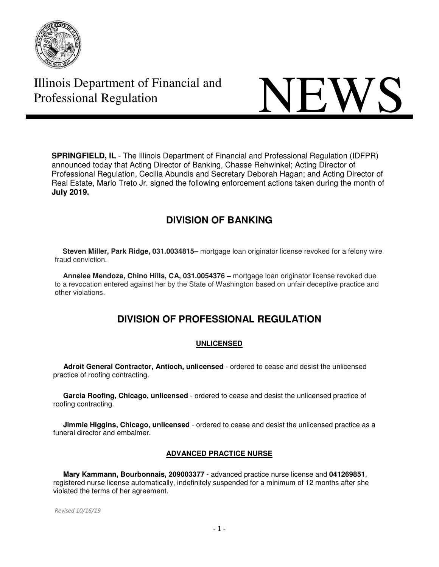



**SPRINGFIELD, IL** - The Illinois Department of Financial and Professional Regulation (IDFPR) announced today that Acting Director of Banking, Chasse Rehwinkel; Acting Director of Professional Regulation, Cecilia Abundis and Secretary Deborah Hagan; and Acting Director of Real Estate, Mario Treto Jr. signed the following enforcement actions taken during the month of **July 2019.** 

# **DIVISION OF BANKING**

 **Steven Miller, Park Ridge, 031.0034815–** mortgage loan originator license revoked for a felony wire fraud conviction.

 **Annelee Mendoza, Chino Hills, CA, 031.0054376 –** mortgage loan originator license revoked due to a revocation entered against her by the State of Washington based on unfair deceptive practice and other violations.

# **DIVISION OF PROFESSIONAL REGULATION**

# **UNLICENSED**

 **Adroit General Contractor, Antioch, unlicensed** - ordered to cease and desist the unlicensed practice of roofing contracting.

 **Garcia Roofing, Chicago, unlicensed** - ordered to cease and desist the unlicensed practice of roofing contracting.

 **Jimmie Higgins, Chicago, unlicensed** - ordered to cease and desist the unlicensed practice as a funeral director and embalmer.

# **ADVANCED PRACTICE NURSE**

 **Mary Kammann, Bourbonnais, 209003377** - advanced practice nurse license and **041269851**, registered nurse license automatically, indefinitely suspended for a minimum of 12 months after she violated the terms of her agreement.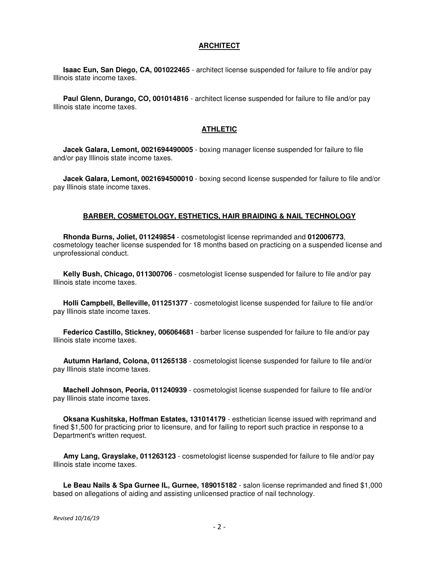#### **ARCHITECT**

 **Isaac Eun, San Diego, CA, 001022465** - architect license suspended for failure to file and/or pay Illinois state income taxes.

 **Paul Glenn, Durango, CO, 001014816** - architect license suspended for failure to file and/or pay Illinois state income taxes.

#### **ATHLETIC**

 **Jacek Galara, Lemont, 0021694490005** - boxing manager license suspended for failure to file and/or pay Illinois state income taxes.

 **Jacek Galara, Lemont, 0021694500010** - boxing second license suspended for failure to file and/or pay Illinois state income taxes.

#### **BARBER, COSMETOLOGY, ESTHETICS, HAIR BRAIDING & NAIL TECHNOLOGY**

 **Rhonda Burns, Joliet, 011249854** - cosmetologist license reprimanded and **012006773**, cosmetology teacher license suspended for 18 months based on practicing on a suspended license and unprofessional conduct.

 **Kelly Bush, Chicago, 011300706** - cosmetologist license suspended for failure to file and/or pay Illinois state income taxes.

 **Holli Campbell, Belleville, 011251377** - cosmetologist license suspended for failure to file and/or pay Illinois state income taxes.

 **Federico Castillo, Stickney, 006064681** - barber license suspended for failure to file and/or pay Illinois state income taxes.

 **Autumn Harland, Colona, 011265138** - cosmetologist license suspended for failure to file and/or pay Illinois state income taxes.

 **Machell Johnson, Peoria, 011240939** - cosmetologist license suspended for failure to file and/or pay Illinois state income taxes.

 **Oksana Kushitska, Hoffman Estates, 131014179** - esthetician license issued with reprimand and fined \$1,500 for practicing prior to licensure, and for failing to report such practice in response to a Department's written request.

 **Amy Lang, Grayslake, 011263123** - cosmetologist license suspended for failure to file and/or pay Illinois state income taxes.

 **Le Beau Nails & Spa Gurnee IL, Gurnee, 189015182** - salon license reprimanded and fined \$1,000 based on allegations of aiding and assisting unlicensed practice of nail technology.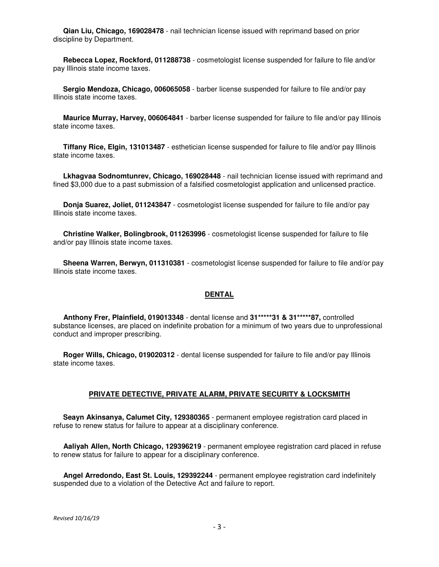**Qian Liu, Chicago, 169028478** - nail technician license issued with reprimand based on prior discipline by Department.

 **Rebecca Lopez, Rockford, 011288738** - cosmetologist license suspended for failure to file and/or pay Illinois state income taxes.

 **Sergio Mendoza, Chicago, 006065058** - barber license suspended for failure to file and/or pay Illinois state income taxes.

 **Maurice Murray, Harvey, 006064841** - barber license suspended for failure to file and/or pay Illinois state income taxes.

 **Tiffany Rice, Elgin, 131013487** - esthetician license suspended for failure to file and/or pay Illinois state income taxes.

 **Lkhagvaa Sodnomtunrev, Chicago, 169028448** - nail technician license issued with reprimand and fined \$3,000 due to a past submission of a falsified cosmetologist application and unlicensed practice.

 **Donja Suarez, Joliet, 011243847** - cosmetologist license suspended for failure to file and/or pay Illinois state income taxes.

 **Christine Walker, Bolingbrook, 011263996** - cosmetologist license suspended for failure to file and/or pay Illinois state income taxes.

 **Sheena Warren, Berwyn, 011310381** - cosmetologist license suspended for failure to file and/or pay Illinois state income taxes.

#### **DENTAL**

 **Anthony Frer, Plainfield, 019013348** - dental license and **31\*\*\*\*\*31 & 31\*\*\*\*\*87,** controlled substance licenses, are placed on indefinite probation for a minimum of two years due to unprofessional conduct and improper prescribing.

 **Roger Wills, Chicago, 019020312** - dental license suspended for failure to file and/or pay Illinois state income taxes.

#### **PRIVATE DETECTIVE, PRIVATE ALARM, PRIVATE SECURITY & LOCKSMITH**

 **Seayn Akinsanya, Calumet City, 129380365** - permanent employee registration card placed in refuse to renew status for failure to appear at a disciplinary conference.

 **Aaliyah Allen, North Chicago, 129396219** - permanent employee registration card placed in refuse to renew status for failure to appear for a disciplinary conference.

 **Angel Arredondo, East St. Louis, 129392244** - permanent employee registration card indefinitely suspended due to a violation of the Detective Act and failure to report.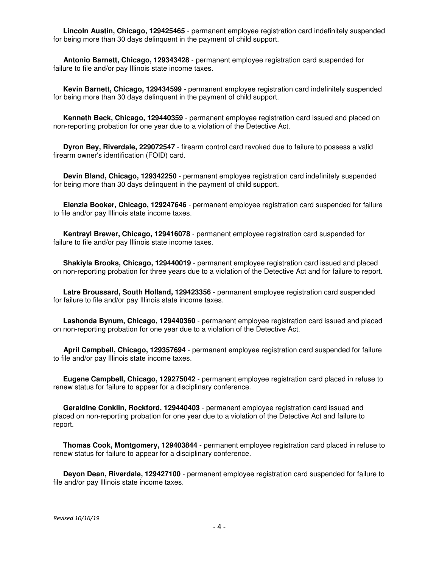**Lincoln Austin, Chicago, 129425465** - permanent employee registration card indefinitely suspended for being more than 30 days delinquent in the payment of child support.

 **Antonio Barnett, Chicago, 129343428** - permanent employee registration card suspended for failure to file and/or pay Illinois state income taxes.

 **Kevin Barnett, Chicago, 129434599** - permanent employee registration card indefinitely suspended for being more than 30 days delinquent in the payment of child support.

 **Kenneth Beck, Chicago, 129440359** - permanent employee registration card issued and placed on non-reporting probation for one year due to a violation of the Detective Act.

 **Dyron Bey, Riverdale, 229072547** - firearm control card revoked due to failure to possess a valid firearm owner's identification (FOID) card.

 **Devin Bland, Chicago, 129342250** - permanent employee registration card indefinitely suspended for being more than 30 days delinquent in the payment of child support.

 **Elenzia Booker, Chicago, 129247646** - permanent employee registration card suspended for failure to file and/or pay Illinois state income taxes.

 **Kentrayl Brewer, Chicago, 129416078** - permanent employee registration card suspended for failure to file and/or pay Illinois state income taxes.

 **Shakiyla Brooks, Chicago, 129440019** - permanent employee registration card issued and placed on non-reporting probation for three years due to a violation of the Detective Act and for failure to report.

 **Latre Broussard, South Holland, 129423356** - permanent employee registration card suspended for failure to file and/or pay Illinois state income taxes.

Lashonda Bynum, Chicago, 129440360 - permanent employee registration card issued and placed on non-reporting probation for one year due to a violation of the Detective Act.

 **April Campbell, Chicago, 129357694** - permanent employee registration card suspended for failure to file and/or pay Illinois state income taxes.

 **Eugene Campbell, Chicago, 129275042** - permanent employee registration card placed in refuse to renew status for failure to appear for a disciplinary conference.

 **Geraldine Conklin, Rockford, 129440403** - permanent employee registration card issued and placed on non-reporting probation for one year due to a violation of the Detective Act and failure to report.

 **Thomas Cook, Montgomery, 129403844** - permanent employee registration card placed in refuse to renew status for failure to appear for a disciplinary conference.

 **Deyon Dean, Riverdale, 129427100** - permanent employee registration card suspended for failure to file and/or pay Illinois state income taxes.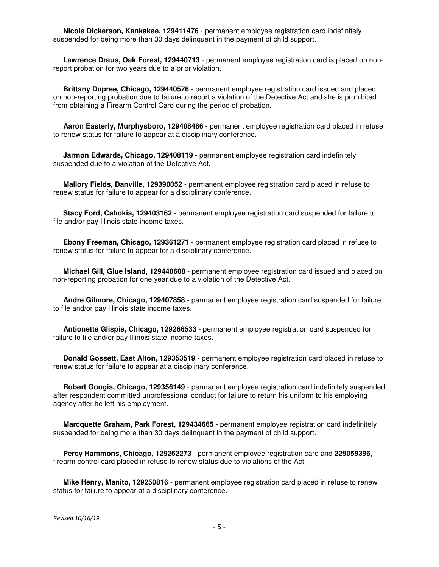**Nicole Dickerson, Kankakee, 129411476** - permanent employee registration card indefinitely suspended for being more than 30 days delinquent in the payment of child support.

 **Lawrence Draus, Oak Forest, 129440713** - permanent employee registration card is placed on nonreport probation for two years due to a prior violation.

 **Brittany Dupree, Chicago, 129440576** - permanent employee registration card issued and placed on non-reporting probation due to failure to report a violation of the Detective Act and she is prohibited from obtaining a Firearm Control Card during the period of probation.

 **Aaron Easterly, Murphysboro, 129408486** - permanent employee registration card placed in refuse to renew status for failure to appear at a disciplinary conference.

 **Jarmon Edwards, Chicago, 129408119** - permanent employee registration card indefinitely suspended due to a violation of the Detective Act.

 **Mallory Fields, Danville, 129390052** - permanent employee registration card placed in refuse to renew status for failure to appear for a disciplinary conference.

 **Stacy Ford, Cahokia, 129403162** - permanent employee registration card suspended for failure to file and/or pay Illinois state income taxes.

 **Ebony Freeman, Chicago, 129361271** - permanent employee registration card placed in refuse to renew status for failure to appear for a disciplinary conference.

 **Michael Gill, Glue Island, 129440608** - permanent employee registration card issued and placed on non-reporting probation for one year due to a violation of the Detective Act.

 **Andre Gilmore, Chicago, 129407858** - permanent employee registration card suspended for failure to file and/or pay Illinois state income taxes.

 **Antionette Glispie, Chicago, 129266533** - permanent employee registration card suspended for failure to file and/or pay Illinois state income taxes.

 **Donald Gossett, East Alton, 129353519** - permanent employee registration card placed in refuse to renew status for failure to appear at a disciplinary conference.

 **Robert Gougis, Chicago, 129356149** - permanent employee registration card indefinitely suspended after respondent committed unprofessional conduct for failure to return his uniform to his employing agency after he left his employment.

 **Marcquette Graham, Park Forest, 129434665** - permanent employee registration card indefinitely suspended for being more than 30 days delinquent in the payment of child support.

 **Percy Hammons, Chicago, 129262273** - permanent employee registration card and **229059396**, firearm control card placed in refuse to renew status due to violations of the Act.

 **Mike Henry, Manito, 129250816** - permanent employee registration card placed in refuse to renew status for failure to appear at a disciplinary conference.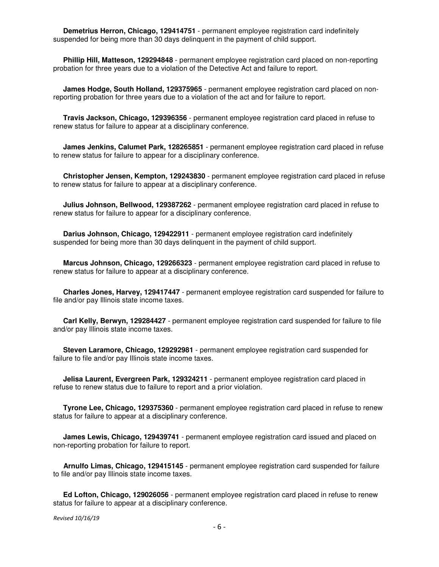**Demetrius Herron, Chicago, 129414751** - permanent employee registration card indefinitely suspended for being more than 30 days delinquent in the payment of child support.

 **Phillip Hill, Matteson, 129294848** - permanent employee registration card placed on non-reporting probation for three years due to a violation of the Detective Act and failure to report.

 **James Hodge, South Holland, 129375965** - permanent employee registration card placed on nonreporting probation for three years due to a violation of the act and for failure to report.

 **Travis Jackson, Chicago, 129396356** - permanent employee registration card placed in refuse to renew status for failure to appear at a disciplinary conference.

 **James Jenkins, Calumet Park, 128265851** - permanent employee registration card placed in refuse to renew status for failure to appear for a disciplinary conference.

 **Christopher Jensen, Kempton, 129243830** - permanent employee registration card placed in refuse to renew status for failure to appear at a disciplinary conference.

 **Julius Johnson, Bellwood, 129387262** - permanent employee registration card placed in refuse to renew status for failure to appear for a disciplinary conference.

 **Darius Johnson, Chicago, 129422911** - permanent employee registration card indefinitely suspended for being more than 30 days delinquent in the payment of child support.

 **Marcus Johnson, Chicago, 129266323** - permanent employee registration card placed in refuse to renew status for failure to appear at a disciplinary conference.

 **Charles Jones, Harvey, 129417447** - permanent employee registration card suspended for failure to file and/or pay Illinois state income taxes.

 **Carl Kelly, Berwyn, 129284427** - permanent employee registration card suspended for failure to file and/or pay Illinois state income taxes.

 **Steven Laramore, Chicago, 129292981** - permanent employee registration card suspended for failure to file and/or pay Illinois state income taxes.

 **Jelisa Laurent, Evergreen Park, 129324211** - permanent employee registration card placed in refuse to renew status due to failure to report and a prior violation.

 **Tyrone Lee, Chicago, 129375360** - permanent employee registration card placed in refuse to renew status for failure to appear at a disciplinary conference.

 **James Lewis, Chicago, 129439741** - permanent employee registration card issued and placed on non-reporting probation for failure to report.

 **Arnulfo Limas, Chicago, 129415145** - permanent employee registration card suspended for failure to file and/or pay Illinois state income taxes.

 **Ed Lofton, Chicago, 129026056** - permanent employee registration card placed in refuse to renew status for failure to appear at a disciplinary conference.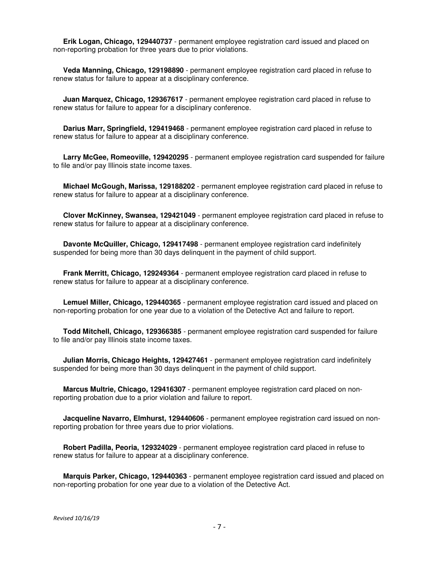**Erik Logan, Chicago, 129440737** - permanent employee registration card issued and placed on non-reporting probation for three years due to prior violations.

 **Veda Manning, Chicago, 129198890** - permanent employee registration card placed in refuse to renew status for failure to appear at a disciplinary conference.

 **Juan Marquez, Chicago, 129367617** - permanent employee registration card placed in refuse to renew status for failure to appear for a disciplinary conference.

 **Darius Marr, Springfield, 129419468** - permanent employee registration card placed in refuse to renew status for failure to appear at a disciplinary conference.

 **Larry McGee, Romeoville, 129420295** - permanent employee registration card suspended for failure to file and/or pay Illinois state income taxes.

 **Michael McGough, Marissa, 129188202** - permanent employee registration card placed in refuse to renew status for failure to appear at a disciplinary conference.

 **Clover McKinney, Swansea, 129421049** - permanent employee registration card placed in refuse to renew status for failure to appear at a disciplinary conference.

 **Davonte McQuiller, Chicago, 129417498** - permanent employee registration card indefinitely suspended for being more than 30 days delinquent in the payment of child support.

 **Frank Merritt, Chicago, 129249364** - permanent employee registration card placed in refuse to renew status for failure to appear at a disciplinary conference.

 **Lemuel Miller, Chicago, 129440365** - permanent employee registration card issued and placed on non-reporting probation for one year due to a violation of the Detective Act and failure to report.

 **Todd Mitchell, Chicago, 129366385** - permanent employee registration card suspended for failure to file and/or pay Illinois state income taxes.

 **Julian Morris, Chicago Heights, 129427461** - permanent employee registration card indefinitely suspended for being more than 30 days delinquent in the payment of child support.

 **Marcus Multrie, Chicago, 129416307** - permanent employee registration card placed on nonreporting probation due to a prior violation and failure to report.

 **Jacqueline Navarro, Elmhurst, 129440606** - permanent employee registration card issued on nonreporting probation for three years due to prior violations.

 **Robert Padilla, Peoria, 129324029** - permanent employee registration card placed in refuse to renew status for failure to appear at a disciplinary conference.

 **Marquis Parker, Chicago, 129440363** - permanent employee registration card issued and placed on non-reporting probation for one year due to a violation of the Detective Act.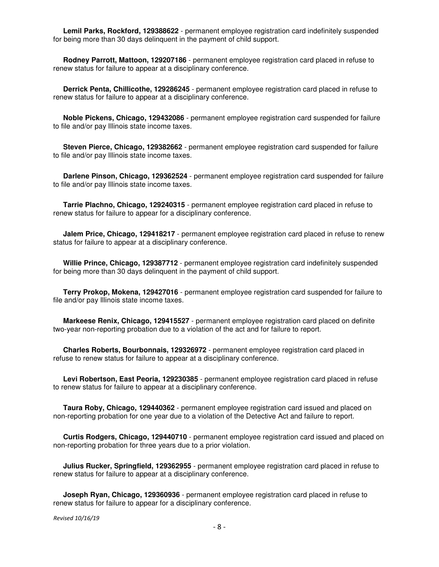**Lemil Parks, Rockford, 129388622** - permanent employee registration card indefinitely suspended for being more than 30 days delinquent in the payment of child support.

 **Rodney Parrott, Mattoon, 129207186** - permanent employee registration card placed in refuse to renew status for failure to appear at a disciplinary conference.

 **Derrick Penta, Chillicothe, 129286245** - permanent employee registration card placed in refuse to renew status for failure to appear at a disciplinary conference.

 **Noble Pickens, Chicago, 129432086** - permanent employee registration card suspended for failure to file and/or pay Illinois state income taxes.

 **Steven Pierce, Chicago, 129382662** - permanent employee registration card suspended for failure to file and/or pay Illinois state income taxes.

 **Darlene Pinson, Chicago, 129362524** - permanent employee registration card suspended for failure to file and/or pay Illinois state income taxes.

 **Tarrie Plachno, Chicago, 129240315** - permanent employee registration card placed in refuse to renew status for failure to appear for a disciplinary conference.

 **Jalem Price, Chicago, 129418217** - permanent employee registration card placed in refuse to renew status for failure to appear at a disciplinary conference.

 **Willie Prince, Chicago, 129387712** - permanent employee registration card indefinitely suspended for being more than 30 days delinquent in the payment of child support.

 **Terry Prokop, Mokena, 129427016** - permanent employee registration card suspended for failure to file and/or pay Illinois state income taxes.

 **Markeese Renix, Chicago, 129415527** - permanent employee registration card placed on definite two-year non-reporting probation due to a violation of the act and for failure to report.

 **Charles Roberts, Bourbonnais, 129326972** - permanent employee registration card placed in refuse to renew status for failure to appear at a disciplinary conference.

 **Levi Robertson, East Peoria, 129230385** - permanent employee registration card placed in refuse to renew status for failure to appear at a disciplinary conference.

 **Taura Roby, Chicago, 129440362** - permanent employee registration card issued and placed on non-reporting probation for one year due to a violation of the Detective Act and failure to report.

 **Curtis Rodgers, Chicago, 129440710** - permanent employee registration card issued and placed on non-reporting probation for three years due to a prior violation.

 **Julius Rucker, Springfield, 129362955** - permanent employee registration card placed in refuse to renew status for failure to appear at a disciplinary conference.

**Joseph Ryan, Chicago, 129360936** - permanent employee registration card placed in refuse to renew status for failure to appear for a disciplinary conference.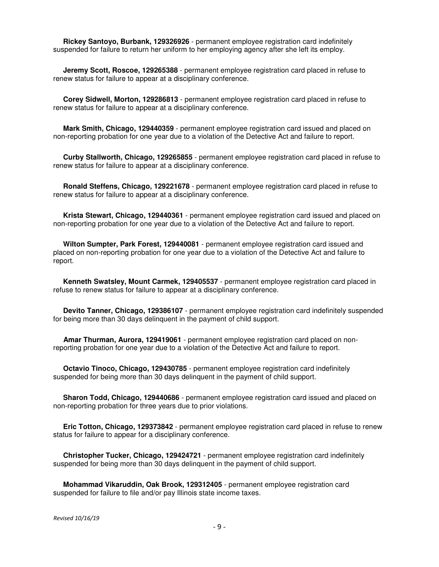**Rickey Santoyo, Burbank, 129326926** - permanent employee registration card indefinitely suspended for failure to return her uniform to her employing agency after she left its employ.

 **Jeremy Scott, Roscoe, 129265388** - permanent employee registration card placed in refuse to renew status for failure to appear at a disciplinary conference.

 **Corey Sidwell, Morton, 129286813** - permanent employee registration card placed in refuse to renew status for failure to appear at a disciplinary conference.

 **Mark Smith, Chicago, 129440359** - permanent employee registration card issued and placed on non-reporting probation for one year due to a violation of the Detective Act and failure to report.

 **Curby Stallworth, Chicago, 129265855** - permanent employee registration card placed in refuse to renew status for failure to appear at a disciplinary conference.

 **Ronald Steffens, Chicago, 129221678** - permanent employee registration card placed in refuse to renew status for failure to appear at a disciplinary conference.

 **Krista Stewart, Chicago, 129440361** - permanent employee registration card issued and placed on non-reporting probation for one year due to a violation of the Detective Act and failure to report.

 **Wilton Sumpter, Park Forest, 129440081** - permanent employee registration card issued and placed on non-reporting probation for one year due to a violation of the Detective Act and failure to report.

 **Kenneth Swatsley, Mount Carmek, 129405537** - permanent employee registration card placed in refuse to renew status for failure to appear at a disciplinary conference.

 **Devito Tanner, Chicago, 129386107** - permanent employee registration card indefinitely suspended for being more than 30 days delinquent in the payment of child support.

 **Amar Thurman, Aurora, 129419061** - permanent employee registration card placed on nonreporting probation for one year due to a violation of the Detective Act and failure to report.

 **Octavio Tinoco, Chicago, 129430785** - permanent employee registration card indefinitely suspended for being more than 30 days delinquent in the payment of child support.

 **Sharon Todd, Chicago, 129440686** - permanent employee registration card issued and placed on non-reporting probation for three years due to prior violations.

 **Eric Totton, Chicago, 129373842** - permanent employee registration card placed in refuse to renew status for failure to appear for a disciplinary conference.

 **Christopher Tucker, Chicago, 129424721** - permanent employee registration card indefinitely suspended for being more than 30 days delinquent in the payment of child support.

 **Mohammad Vikaruddin, Oak Brook, 129312405** - permanent employee registration card suspended for failure to file and/or pay Illinois state income taxes.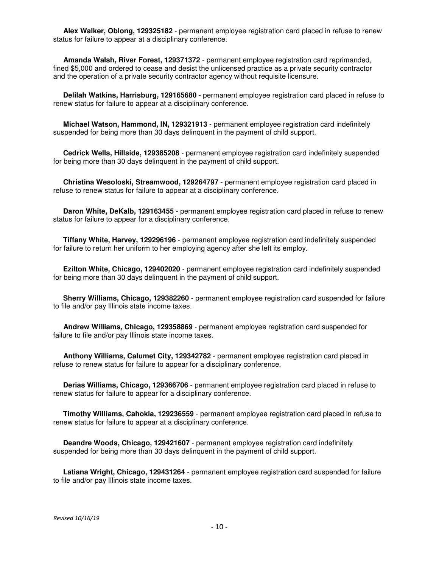**Alex Walker, Oblong, 129325182** - permanent employee registration card placed in refuse to renew status for failure to appear at a disciplinary conference.

 **Amanda Walsh, River Forest, 129371372** - permanent employee registration card reprimanded, fined \$5,000 and ordered to cease and desist the unlicensed practice as a private security contractor and the operation of a private security contractor agency without requisite licensure.

 **Delilah Watkins, Harrisburg, 129165680** - permanent employee registration card placed in refuse to renew status for failure to appear at a disciplinary conference.

 **Michael Watson, Hammond, IN, 129321913** - permanent employee registration card indefinitely suspended for being more than 30 days delinquent in the payment of child support.

 **Cedrick Wells, Hillside, 129385208** - permanent employee registration card indefinitely suspended for being more than 30 days delinquent in the payment of child support.

 **Christina Wesoloski, Streamwood, 129264797** - permanent employee registration card placed in refuse to renew status for failure to appear at a disciplinary conference.

**Daron White, DeKalb, 129163455** - permanent employee registration card placed in refuse to renew status for failure to appear for a disciplinary conference.

 **Tiffany White, Harvey, 129296196** - permanent employee registration card indefinitely suspended for failure to return her uniform to her employing agency after she left its employ.

 **Ezilton White, Chicago, 129402020** - permanent employee registration card indefinitely suspended for being more than 30 days delinquent in the payment of child support.

 **Sherry Williams, Chicago, 129382260** - permanent employee registration card suspended for failure to file and/or pay Illinois state income taxes.

 **Andrew Williams, Chicago, 129358869** - permanent employee registration card suspended for failure to file and/or pay Illinois state income taxes.

 **Anthony Williams, Calumet City, 129342782** - permanent employee registration card placed in refuse to renew status for failure to appear for a disciplinary conference.

 **Derias Williams, Chicago, 129366706** - permanent employee registration card placed in refuse to renew status for failure to appear for a disciplinary conference.

 **Timothy Williams, Cahokia, 129236559** - permanent employee registration card placed in refuse to renew status for failure to appear at a disciplinary conference.

 **Deandre Woods, Chicago, 129421607** - permanent employee registration card indefinitely suspended for being more than 30 days delinquent in the payment of child support.

 **Latiana Wright, Chicago, 129431264** - permanent employee registration card suspended for failure to file and/or pay Illinois state income taxes.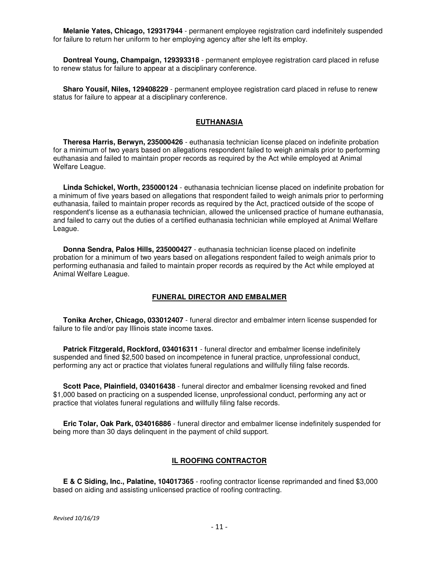**Melanie Yates, Chicago, 129317944** - permanent employee registration card indefinitely suspended for failure to return her uniform to her employing agency after she left its employ.

 **Dontreal Young, Champaign, 129393318** - permanent employee registration card placed in refuse to renew status for failure to appear at a disciplinary conference.

 **Sharo Yousif, Niles, 129408229** - permanent employee registration card placed in refuse to renew status for failure to appear at a disciplinary conference.

## **EUTHANASIA**

 **Theresa Harris, Berwyn, 235000426** - euthanasia technician license placed on indefinite probation for a minimum of two years based on allegations respondent failed to weigh animals prior to performing euthanasia and failed to maintain proper records as required by the Act while employed at Animal Welfare League.

 **Linda Schickel, Worth, 235000124** - euthanasia technician license placed on indefinite probation for a minimum of five years based on allegations that respondent failed to weigh animals prior to performing euthanasia, failed to maintain proper records as required by the Act, practiced outside of the scope of respondent's license as a euthanasia technician, allowed the unlicensed practice of humane euthanasia, and failed to carry out the duties of a certified euthanasia technician while employed at Animal Welfare League.

 **Donna Sendra, Palos Hills, 235000427** - euthanasia technician license placed on indefinite probation for a minimum of two years based on allegations respondent failed to weigh animals prior to performing euthanasia and failed to maintain proper records as required by the Act while employed at Animal Welfare League.

#### **FUNERAL DIRECTOR AND EMBALMER**

 **Tonika Archer, Chicago, 033012407** - funeral director and embalmer intern license suspended for failure to file and/or pay Illinois state income taxes.

 **Patrick Fitzgerald, Rockford, 034016311** - funeral director and embalmer license indefinitely suspended and fined \$2,500 based on incompetence in funeral practice, unprofessional conduct, performing any act or practice that violates funeral regulations and willfully filing false records.

 **Scott Pace, Plainfield, 034016438** - funeral director and embalmer licensing revoked and fined \$1,000 based on practicing on a suspended license, unprofessional conduct, performing any act or practice that violates funeral regulations and willfully filing false records.

 **Eric Tolar, Oak Park, 034016886** - funeral director and embalmer license indefinitely suspended for being more than 30 days delinquent in the payment of child support.

### **IL ROOFING CONTRACTOR**

 **E & C Siding, Inc., Palatine, 104017365** - roofing contractor license reprimanded and fined \$3,000 based on aiding and assisting unlicensed practice of roofing contracting.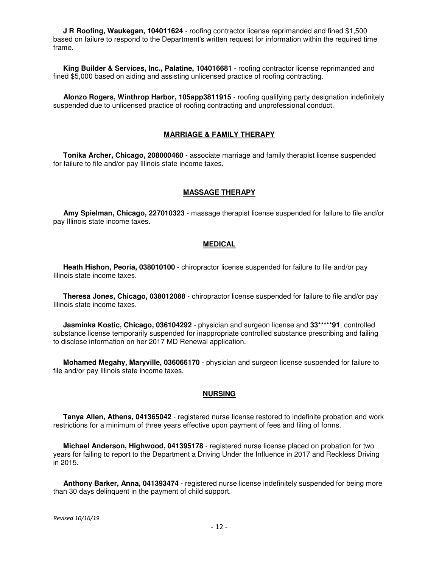**J R Roofing, Waukegan, 104011624** - roofing contractor license reprimanded and fined \$1,500 based on failure to respond to the Department's written request for information within the required time frame.

 **King Builder & Services, Inc., Palatine, 104016681** - roofing contractor license reprimanded and fined \$5,000 based on aiding and assisting unlicensed practice of roofing contracting.

 **Alonzo Rogers, Winthrop Harbor, 105app3811915** - roofing qualifying party designation indefinitely suspended due to unlicensed practice of roofing contracting and unprofessional conduct.

#### **MARRIAGE & FAMILY THERAPY**

 **Tonika Archer, Chicago, 208000460** - associate marriage and family therapist license suspended for failure to file and/or pay Illinois state income taxes.

#### **MASSAGE THERAPY**

 **Amy Spielman, Chicago, 227010323** - massage therapist license suspended for failure to file and/or pay Illinois state income taxes.

#### **MEDICAL**

 **Heath Hishon, Peoria, 038010100** - chiropractor license suspended for failure to file and/or pay Illinois state income taxes.

 **Theresa Jones, Chicago, 038012088** - chiropractor license suspended for failure to file and/or pay Illinois state income taxes.

 **Jasminka Kostic, Chicago, 036104292** - physician and surgeon license and **33\*\*\*\*\*91**, controlled substance license temporarily suspended for inappropriate controlled substance prescribing and failing to disclose information on her 2017 MD Renewal application.

 **Mohamed Megahy, Maryville, 036066170** - physician and surgeon license suspended for failure to file and/or pay Illinois state income taxes.

# **NURSING**

 **Tanya Allen, Athens, 041365042** - registered nurse license restored to indefinite probation and work restrictions for a minimum of three years effective upon payment of fees and filing of forms.

 **Michael Anderson, Highwood, 041395178** - registered nurse license placed on probation for two years for failing to report to the Department a Driving Under the Influence in 2017 and Reckless Driving in 2015.

 **Anthony Barker, Anna, 041393474** - registered nurse license indefinitely suspended for being more than 30 days delinquent in the payment of child support.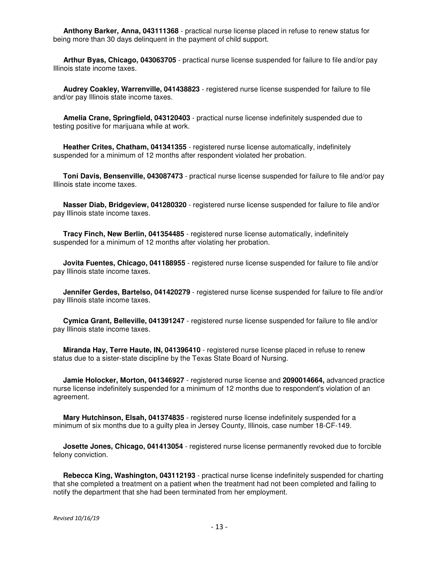**Anthony Barker, Anna, 043111368** - practical nurse license placed in refuse to renew status for being more than 30 days delinquent in the payment of child support.

 **Arthur Byas, Chicago, 043063705** - practical nurse license suspended for failure to file and/or pay Illinois state income taxes.

 **Audrey Coakley, Warrenville, 041438823** - registered nurse license suspended for failure to file and/or pay Illinois state income taxes.

 **Amelia Crane, Springfield, 043120403** - practical nurse license indefinitely suspended due to testing positive for marijuana while at work.

 **Heather Crites, Chatham, 041341355** - registered nurse license automatically, indefinitely suspended for a minimum of 12 months after respondent violated her probation.

 **Toni Davis, Bensenville, 043087473** - practical nurse license suspended for failure to file and/or pay Illinois state income taxes.

 **Nasser Diab, Bridgeview, 041280320** - registered nurse license suspended for failure to file and/or pay Illinois state income taxes.

 **Tracy Finch, New Berlin, 041354485** - registered nurse license automatically, indefinitely suspended for a minimum of 12 months after violating her probation.

 **Jovita Fuentes, Chicago, 041188955** - registered nurse license suspended for failure to file and/or pay Illinois state income taxes.

 **Jennifer Gerdes, Bartelso, 041420279** - registered nurse license suspended for failure to file and/or pay Illinois state income taxes.

 **Cymica Grant, Belleville, 041391247** - registered nurse license suspended for failure to file and/or pay Illinois state income taxes.

 **Miranda Hay, Terre Haute, IN, 041396410** - registered nurse license placed in refuse to renew status due to a sister-state discipline by the Texas State Board of Nursing.

 **Jamie Holocker, Morton, 041346927** - registered nurse license and **2090014664,** advanced practice nurse license indefinitely suspended for a minimum of 12 months due to respondent's violation of an agreement.

 **Mary Hutchinson, Elsah, 041374835** - registered nurse license indefinitely suspended for a minimum of six months due to a guilty plea in Jersey County, Illinois, case number 18-CF-149.

 **Josette Jones, Chicago, 041413054** - registered nurse license permanently revoked due to forcible felony conviction.

 **Rebecca King, Washington, 043112193** - practical nurse license indefinitely suspended for charting that she completed a treatment on a patient when the treatment had not been completed and failing to notify the department that she had been terminated from her employment.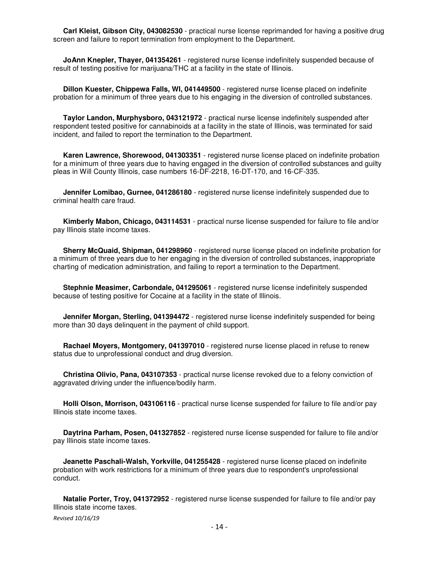**Carl Kleist, Gibson City, 043082530** - practical nurse license reprimanded for having a positive drug screen and failure to report termination from employment to the Department.

 **JoAnn Knepler, Thayer, 041354261** - registered nurse license indefinitely suspended because of result of testing positive for marijuana/THC at a facility in the state of Illinois.

 **Dillon Kuester, Chippewa Falls, WI, 041449500** - registered nurse license placed on indefinite probation for a minimum of three years due to his engaging in the diversion of controlled substances.

 **Taylor Landon, Murphysboro, 043121972** - practical nurse license indefinitely suspended after respondent tested positive for cannabinoids at a facility in the state of Illinois, was terminated for said incident, and failed to report the termination to the Department.

 **Karen Lawrence, Shorewood, 041303351** - registered nurse license placed on indefinite probation for a minimum of three years due to having engaged in the diversion of controlled substances and guilty pleas in Will County Illinois, case numbers 16-DF-2218, 16-DT-170, and 16-CF-335.

 **Jennifer Lomibao, Gurnee, 041286180** - registered nurse license indefinitely suspended due to criminal health care fraud.

 **Kimberly Mabon, Chicago, 043114531** - practical nurse license suspended for failure to file and/or pay Illinois state income taxes.

 **Sherry McQuaid, Shipman, 041298960** - registered nurse license placed on indefinite probation for a minimum of three years due to her engaging in the diversion of controlled substances, inappropriate charting of medication administration, and failing to report a termination to the Department.

 **Stephnie Measimer, Carbondale, 041295061** - registered nurse license indefinitely suspended because of testing positive for Cocaine at a facility in the state of Illinois.

**Jennifer Morgan, Sterling, 041394472** - registered nurse license indefinitely suspended for being more than 30 days delinquent in the payment of child support.

 **Rachael Moyers, Montgomery, 041397010** - registered nurse license placed in refuse to renew status due to unprofessional conduct and drug diversion.

 **Christina Olivio, Pana, 043107353** - practical nurse license revoked due to a felony conviction of aggravated driving under the influence/bodily harm.

 **Holli Olson, Morrison, 043106116** - practical nurse license suspended for failure to file and/or pay Illinois state income taxes.

 **Daytrina Parham, Posen, 041327852** - registered nurse license suspended for failure to file and/or pay Illinois state income taxes.

 **Jeanette Paschali-Walsh, Yorkville, 041255428** - registered nurse license placed on indefinite probation with work restrictions for a minimum of three years due to respondent's unprofessional conduct.

 **Natalie Porter, Troy, 041372952** - registered nurse license suspended for failure to file and/or pay Illinois state income taxes.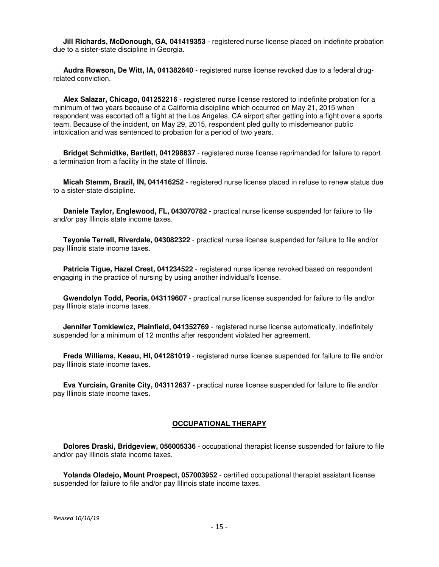**Jill Richards, McDonough, GA, 041419353** - registered nurse license placed on indefinite probation due to a sister-state discipline in Georgia.

 **Audra Rowson, De Witt, IA, 041382640** - registered nurse license revoked due to a federal drugrelated conviction.

 **Alex Salazar, Chicago, 041252216** - registered nurse license restored to indefinite probation for a minimum of two years because of a California discipline which occurred on May 21, 2015 when respondent was escorted off a flight at the Los Angeles, CA airport after getting into a fight over a sports team. Because of the incident, on May 29, 2015, respondent pled guilty to misdemeanor public intoxication and was sentenced to probation for a period of two years.

 **Bridget Schmidtke, Bartlett, 041298837** - registered nurse license reprimanded for failure to report a termination from a facility in the state of Illinois.

 **Micah Stemm, Brazil, IN, 041416252** - registered nurse license placed in refuse to renew status due to a sister-state discipline.

 **Daniele Taylor, Englewood, FL, 043070782** - practical nurse license suspended for failure to file and/or pay Illinois state income taxes.

 **Teyonie Terrell, Riverdale, 043082322** - practical nurse license suspended for failure to file and/or pay Illinois state income taxes.

 **Patricia Tigue, Hazel Crest, 041234522** - registered nurse license revoked based on respondent engaging in the practice of nursing by using another individual's license.

 **Gwendolyn Todd, Peoria, 043119607** - practical nurse license suspended for failure to file and/or pay Illinois state income taxes.

 **Jennifer Tomkiewicz, Plainfield, 041352769** - registered nurse license automatically, indefinitely suspended for a minimum of 12 months after respondent violated her agreement.

 **Freda Williams, Keaau, HI, 041281019** - registered nurse license suspended for failure to file and/or pay Illinois state income taxes.

 **Eva Yurcisin, Granite City, 043112637** - practical nurse license suspended for failure to file and/or pay Illinois state income taxes.

#### **OCCUPATIONAL THERAPY**

 **Dolores Draski, Bridgeview, 056005336** - occupational therapist license suspended for failure to file and/or pay Illinois state income taxes.

 **Yolanda Oladejo, Mount Prospect, 057003952** - certified occupational therapist assistant license suspended for failure to file and/or pay Illinois state income taxes.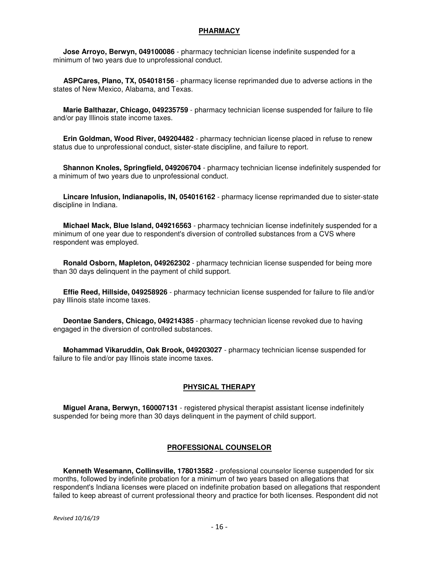#### **PHARMACY**

 **Jose Arroyo, Berwyn, 049100086** - pharmacy technician license indefinite suspended for a minimum of two years due to unprofessional conduct.

 **ASPCares, Plano, TX, 054018156** - pharmacy license reprimanded due to adverse actions in the states of New Mexico, Alabama, and Texas.

 **Marie Balthazar, Chicago, 049235759** - pharmacy technician license suspended for failure to file and/or pay Illinois state income taxes.

 **Erin Goldman, Wood River, 049204482** - pharmacy technician license placed in refuse to renew status due to unprofessional conduct, sister-state discipline, and failure to report.

 **Shannon Knoles, Springfield, 049206704** - pharmacy technician license indefinitely suspended for a minimum of two years due to unprofessional conduct.

 **Lincare Infusion, Indianapolis, IN, 054016162** - pharmacy license reprimanded due to sister-state discipline in Indiana.

 **Michael Mack, Blue Island, 049216563** - pharmacy technician license indefinitely suspended for a minimum of one year due to respondent's diversion of controlled substances from a CVS where respondent was employed.

 **Ronald Osborn, Mapleton, 049262302** - pharmacy technician license suspended for being more than 30 days delinquent in the payment of child support.

 **Effie Reed, Hillside, 049258926** - pharmacy technician license suspended for failure to file and/or pay Illinois state income taxes.

 **Deontae Sanders, Chicago, 049214385** - pharmacy technician license revoked due to having engaged in the diversion of controlled substances.

 **Mohammad Vikaruddin, Oak Brook, 049203027** - pharmacy technician license suspended for failure to file and/or pay Illinois state income taxes.

# **PHYSICAL THERAPY**

 **Miguel Arana, Berwyn, 160007131** - registered physical therapist assistant license indefinitely suspended for being more than 30 days delinquent in the payment of child support.

# **PROFESSIONAL COUNSELOR**

 **Kenneth Wesemann, Collinsville, 178013582** - professional counselor license suspended for six months, followed by indefinite probation for a minimum of two years based on allegations that respondent's Indiana licenses were placed on indefinite probation based on allegations that respondent failed to keep abreast of current professional theory and practice for both licenses. Respondent did not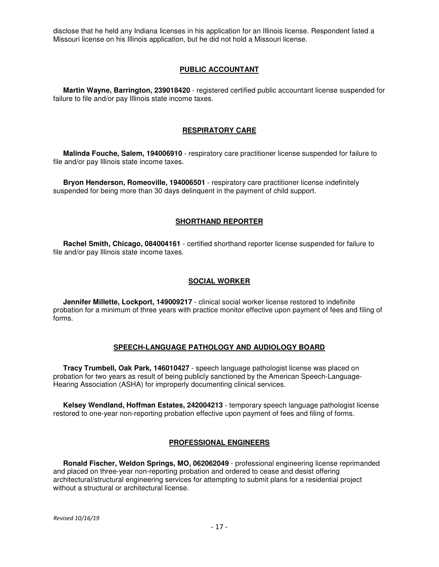disclose that he held any Indiana licenses in his application for an Illinois license. Respondent listed a Missouri license on his Illinois application, but he did not hold a Missouri license.

# **PUBLIC ACCOUNTANT**

 **Martin Wayne, Barrington, 239018420** - registered certified public accountant license suspended for failure to file and/or pay Illinois state income taxes.

# **RESPIRATORY CARE**

 **Malinda Fouche, Salem, 194006910** - respiratory care practitioner license suspended for failure to file and/or pay Illinois state income taxes.

 **Bryon Henderson, Romeoville, 194006501** - respiratory care practitioner license indefinitely suspended for being more than 30 days delinquent in the payment of child support.

## **SHORTHAND REPORTER**

 **Rachel Smith, Chicago, 084004161** - certified shorthand reporter license suspended for failure to file and/or pay Illinois state income taxes.

## **SOCIAL WORKER**

 **Jennifer Millette, Lockport, 149009217** - clinical social worker license restored to indefinite probation for a minimum of three years with practice monitor effective upon payment of fees and filing of forms.

# **SPEECH-LANGUAGE PATHOLOGY AND AUDIOLOGY BOARD**

 **Tracy Trumbell, Oak Park, 146010427** - speech language pathologist license was placed on probation for two years as result of being publicly sanctioned by the American Speech-Language-Hearing Association (ASHA) for improperly documenting clinical services.

 **Kelsey Wendland, Hoffman Estates, 242004213** - temporary speech language pathologist license restored to one-year non-reporting probation effective upon payment of fees and filing of forms.

# **PROFESSIONAL ENGINEERS**

 **Ronald Fischer, Weldon Springs, MO, 062062049** - professional engineering license reprimanded and placed on three-year non-reporting probation and ordered to cease and desist offering architectural/structural engineering services for attempting to submit plans for a residential project without a structural or architectural license.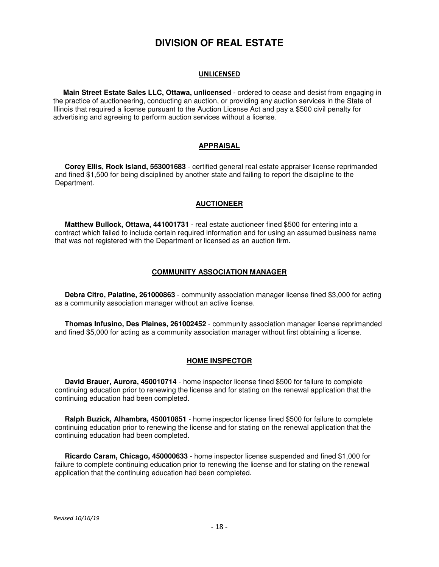# **DIVISION OF REAL ESTATE**

#### UNLICENSED

 **Main Street Estate Sales LLC, Ottawa, unlicensed** - ordered to cease and desist from engaging in the practice of auctioneering, conducting an auction, or providing any auction services in the State of Illinois that required a license pursuant to the Auction License Act and pay a \$500 civil penalty for advertising and agreeing to perform auction services without a license.

# **APPRAISAL**

 **Corey Ellis, Rock Island, 553001683** - certified general real estate appraiser license reprimanded and fined \$1,500 for being disciplined by another state and failing to report the discipline to the Department.

# **AUCTIONEER**

 **Matthew Bullock, Ottawa, 441001731** - real estate auctioneer fined \$500 for entering into a contract which failed to include certain required information and for using an assumed business name that was not registered with the Department or licensed as an auction firm.

# **COMMUNITY ASSOCIATION MANAGER**

 **Debra Citro, Palatine, 261000863** - community association manager license fined \$3,000 for acting as a community association manager without an active license.

 **Thomas Infusino, Des Plaines, 261002452** - community association manager license reprimanded and fined \$5,000 for acting as a community association manager without first obtaining a license.

# **HOME INSPECTOR**

 **David Brauer, Aurora, 450010714** - home inspector license fined \$500 for failure to complete continuing education prior to renewing the license and for stating on the renewal application that the continuing education had been completed.

 **Ralph Buzick, Alhambra, 450010851** - home inspector license fined \$500 for failure to complete continuing education prior to renewing the license and for stating on the renewal application that the continuing education had been completed.

 **Ricardo Caram, Chicago, 450000633** - home inspector license suspended and fined \$1,000 for failure to complete continuing education prior to renewing the license and for stating on the renewal application that the continuing education had been completed.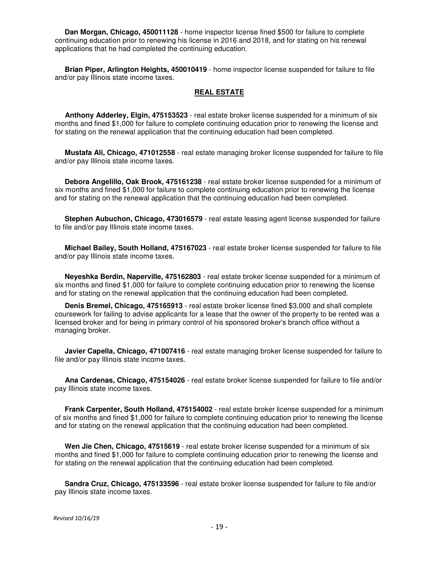**Dan Morgan, Chicago, 450011128** - home inspector license fined \$500 for failure to complete continuing education prior to renewing his license in 2016 and 2018, and for stating on his renewal applications that he had completed the continuing education.

 **Brian Piper, Arlington Heights, 450010419** - home inspector license suspended for failure to file and/or pay Illinois state income taxes.

### **REAL ESTATE**

 **Anthony Adderley, Elgin, 475153523** - real estate broker license suspended for a minimum of six months and fined \$1,000 for failure to complete continuing education prior to renewing the license and for stating on the renewal application that the continuing education had been completed.

 **Mustafa Ali, Chicago, 471012558** - real estate managing broker license suspended for failure to file and/or pay Illinois state income taxes.

 **Debora Angelillo, Oak Brook, 475161238** - real estate broker license suspended for a minimum of six months and fined \$1,000 for failure to complete continuing education prior to renewing the license and for stating on the renewal application that the continuing education had been completed.

 **Stephen Aubuchon, Chicago, 473016579** - real estate leasing agent license suspended for failure to file and/or pay Illinois state income taxes.

 **Michael Bailey, South Holland, 475167023** - real estate broker license suspended for failure to file and/or pay Illinois state income taxes.

 **Neyeshka Berdin, Naperville, 475162803** - real estate broker license suspended for a minimum of six months and fined \$1,000 for failure to complete continuing education prior to renewing the license and for stating on the renewal application that the continuing education had been completed.

 **Denis Bremel, Chicago, 475165913** - real estate broker license fined \$3,000 and shall complete coursework for failing to advise applicants for a lease that the owner of the property to be rented was a licensed broker and for being in primary control of his sponsored broker's branch office without a managing broker.

 **Javier Capella, Chicago, 471007416** - real estate managing broker license suspended for failure to file and/or pay Illinois state income taxes.

 **Ana Cardenas, Chicago, 475154026** - real estate broker license suspended for failure to file and/or pay Illinois state income taxes.

 **Frank Carpenter, South Holland, 475154002** - real estate broker license suspended for a minimum of six months and fined \$1,000 for failure to complete continuing education prior to renewing the license and for stating on the renewal application that the continuing education had been completed.

 **Wen Jie Chen, Chicago, 47515619** - real estate broker license suspended for a minimum of six months and fined \$1,000 for failure to complete continuing education prior to renewing the license and for stating on the renewal application that the continuing education had been completed.

 **Sandra Cruz, Chicago, 475133596** - real estate broker license suspended for failure to file and/or pay Illinois state income taxes.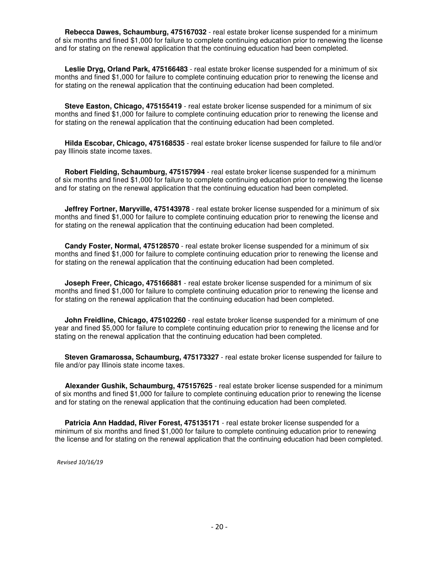**Rebecca Dawes, Schaumburg, 475167032** - real estate broker license suspended for a minimum of six months and fined \$1,000 for failure to complete continuing education prior to renewing the license and for stating on the renewal application that the continuing education had been completed.

 **Leslie Dryg, Orland Park, 475166483** - real estate broker license suspended for a minimum of six months and fined \$1,000 for failure to complete continuing education prior to renewing the license and for stating on the renewal application that the continuing education had been completed.

 **Steve Easton, Chicago, 475155419** - real estate broker license suspended for a minimum of six months and fined \$1,000 for failure to complete continuing education prior to renewing the license and for stating on the renewal application that the continuing education had been completed.

 **Hilda Escobar, Chicago, 475168535** - real estate broker license suspended for failure to file and/or pay Illinois state income taxes.

 **Robert Fielding, Schaumburg, 475157994** - real estate broker license suspended for a minimum of six months and fined \$1,000 for failure to complete continuing education prior to renewing the license and for stating on the renewal application that the continuing education had been completed.

 **Jeffrey Fortner, Maryville, 475143978** - real estate broker license suspended for a minimum of six months and fined \$1,000 for failure to complete continuing education prior to renewing the license and for stating on the renewal application that the continuing education had been completed.

 **Candy Foster, Normal, 475128570** - real estate broker license suspended for a minimum of six months and fined \$1,000 for failure to complete continuing education prior to renewing the license and for stating on the renewal application that the continuing education had been completed.

 **Joseph Freer, Chicago, 475166881** - real estate broker license suspended for a minimum of six months and fined \$1,000 for failure to complete continuing education prior to renewing the license and for stating on the renewal application that the continuing education had been completed.

 **John Freidline, Chicago, 475102260** - real estate broker license suspended for a minimum of one year and fined \$5,000 for failure to complete continuing education prior to renewing the license and for stating on the renewal application that the continuing education had been completed.

 **Steven Gramarossa, Schaumburg, 475173327** - real estate broker license suspended for failure to file and/or pay Illinois state income taxes.

 **Alexander Gushik, Schaumburg, 475157625** - real estate broker license suspended for a minimum of six months and fined \$1,000 for failure to complete continuing education prior to renewing the license and for stating on the renewal application that the continuing education had been completed.

 **Patricia Ann Haddad, River Forest, 475135171** - real estate broker license suspended for a minimum of six months and fined \$1,000 for failure to complete continuing education prior to renewing the license and for stating on the renewal application that the continuing education had been completed.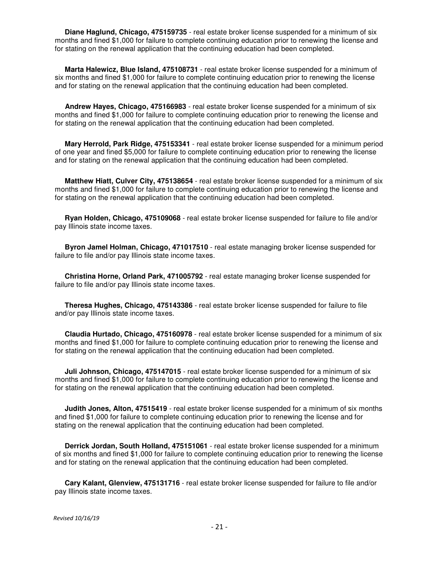**Diane Haglund, Chicago, 475159735** - real estate broker license suspended for a minimum of six months and fined \$1,000 for failure to complete continuing education prior to renewing the license and for stating on the renewal application that the continuing education had been completed.

 **Marta Halewicz, Blue Island, 475108731** - real estate broker license suspended for a minimum of six months and fined \$1,000 for failure to complete continuing education prior to renewing the license and for stating on the renewal application that the continuing education had been completed.

 **Andrew Hayes, Chicago, 475166983** - real estate broker license suspended for a minimum of six months and fined \$1,000 for failure to complete continuing education prior to renewing the license and for stating on the renewal application that the continuing education had been completed.

 **Mary Herrold, Park Ridge, 475153341** - real estate broker license suspended for a minimum period of one year and fined \$5,000 for failure to complete continuing education prior to renewing the license and for stating on the renewal application that the continuing education had been completed.

 **Matthew Hiatt, Culver City, 475138654** - real estate broker license suspended for a minimum of six months and fined \$1,000 for failure to complete continuing education prior to renewing the license and for stating on the renewal application that the continuing education had been completed.

 **Ryan Holden, Chicago, 475109068** - real estate broker license suspended for failure to file and/or pay Illinois state income taxes.

 **Byron Jamel Holman, Chicago, 471017510** - real estate managing broker license suspended for failure to file and/or pay Illinois state income taxes.

 **Christina Horne, Orland Park, 471005792** - real estate managing broker license suspended for failure to file and/or pay Illinois state income taxes.

 **Theresa Hughes, Chicago, 475143386** - real estate broker license suspended for failure to file and/or pay Illinois state income taxes.

 **Claudia Hurtado, Chicago, 475160978** - real estate broker license suspended for a minimum of six months and fined \$1,000 for failure to complete continuing education prior to renewing the license and for stating on the renewal application that the continuing education had been completed.

 **Juli Johnson, Chicago, 475147015** - real estate broker license suspended for a minimum of six months and fined \$1,000 for failure to complete continuing education prior to renewing the license and for stating on the renewal application that the continuing education had been completed.

 **Judith Jones, Alton, 47515419** - real estate broker license suspended for a minimum of six months and fined \$1,000 for failure to complete continuing education prior to renewing the license and for stating on the renewal application that the continuing education had been completed.

 **Derrick Jordan, South Holland, 475151061** - real estate broker license suspended for a minimum of six months and fined \$1,000 for failure to complete continuing education prior to renewing the license and for stating on the renewal application that the continuing education had been completed.

 **Cary Kalant, Glenview, 475131716** - real estate broker license suspended for failure to file and/or pay Illinois state income taxes.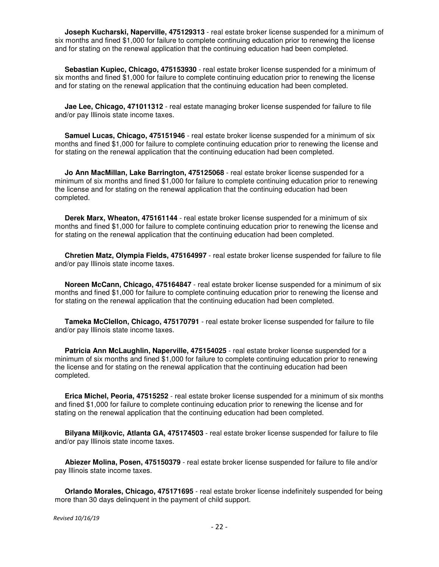**Joseph Kucharski, Naperville, 475129313** - real estate broker license suspended for a minimum of six months and fined \$1,000 for failure to complete continuing education prior to renewing the license and for stating on the renewal application that the continuing education had been completed.

 **Sebastian Kupiec, Chicago, 475153930** - real estate broker license suspended for a minimum of six months and fined \$1,000 for failure to complete continuing education prior to renewing the license and for stating on the renewal application that the continuing education had been completed.

 **Jae Lee, Chicago, 471011312** - real estate managing broker license suspended for failure to file and/or pay Illinois state income taxes.

 **Samuel Lucas, Chicago, 475151946** - real estate broker license suspended for a minimum of six months and fined \$1,000 for failure to complete continuing education prior to renewing the license and for stating on the renewal application that the continuing education had been completed.

 **Jo Ann MacMillan, Lake Barrington, 475125068** - real estate broker license suspended for a minimum of six months and fined \$1,000 for failure to complete continuing education prior to renewing the license and for stating on the renewal application that the continuing education had been completed.

 **Derek Marx, Wheaton, 475161144** - real estate broker license suspended for a minimum of six months and fined \$1,000 for failure to complete continuing education prior to renewing the license and for stating on the renewal application that the continuing education had been completed.

 **Chretien Matz, Olympia Fields, 475164997** - real estate broker license suspended for failure to file and/or pay Illinois state income taxes.

 **Noreen McCann, Chicago, 475164847** - real estate broker license suspended for a minimum of six months and fined \$1,000 for failure to complete continuing education prior to renewing the license and for stating on the renewal application that the continuing education had been completed.

 **Tameka McClellon, Chicago, 475170791** - real estate broker license suspended for failure to file and/or pay Illinois state income taxes.

 **Patricia Ann McLaughlin, Naperville, 475154025** - real estate broker license suspended for a minimum of six months and fined \$1,000 for failure to complete continuing education prior to renewing the license and for stating on the renewal application that the continuing education had been completed.

 **Erica Michel, Peoria, 47515252** - real estate broker license suspended for a minimum of six months and fined \$1,000 for failure to complete continuing education prior to renewing the license and for stating on the renewal application that the continuing education had been completed.

 **Bilyana Miljkovic, Atlanta GA, 475174503** - real estate broker license suspended for failure to file and/or pay Illinois state income taxes.

 **Abiezer Molina, Posen, 475150379** - real estate broker license suspended for failure to file and/or pay Illinois state income taxes.

 **Orlando Morales, Chicago, 475171695** - real estate broker license indefinitely suspended for being more than 30 days delinquent in the payment of child support.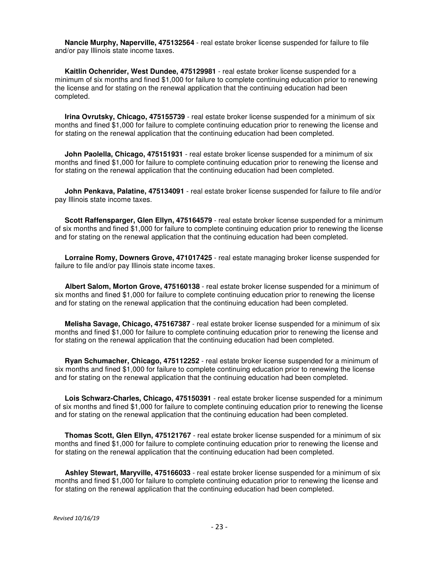**Nancie Murphy, Naperville, 475132564** - real estate broker license suspended for failure to file and/or pay Illinois state income taxes.

 **Kaitlin Ochenrider, West Dundee, 475129981** - real estate broker license suspended for a minimum of six months and fined \$1,000 for failure to complete continuing education prior to renewing the license and for stating on the renewal application that the continuing education had been completed.

 **Irina Ovrutsky, Chicago, 475155739** - real estate broker license suspended for a minimum of six months and fined \$1,000 for failure to complete continuing education prior to renewing the license and for stating on the renewal application that the continuing education had been completed.

 **John Paolella, Chicago, 475151931** - real estate broker license suspended for a minimum of six months and fined \$1,000 for failure to complete continuing education prior to renewing the license and for stating on the renewal application that the continuing education had been completed.

 **John Penkava, Palatine, 475134091** - real estate broker license suspended for failure to file and/or pay Illinois state income taxes.

 **Scott Raffensparger, Glen Ellyn, 475164579** - real estate broker license suspended for a minimum of six months and fined \$1,000 for failure to complete continuing education prior to renewing the license and for stating on the renewal application that the continuing education had been completed.

 **Lorraine Romy, Downers Grove, 471017425** - real estate managing broker license suspended for failure to file and/or pay Illinois state income taxes.

 **Albert Salom, Morton Grove, 475160138** - real estate broker license suspended for a minimum of six months and fined \$1,000 for failure to complete continuing education prior to renewing the license and for stating on the renewal application that the continuing education had been completed.

 **Melisha Savage, Chicago, 475167387** - real estate broker license suspended for a minimum of six months and fined \$1,000 for failure to complete continuing education prior to renewing the license and for stating on the renewal application that the continuing education had been completed.

 **Ryan Schumacher, Chicago, 475112252** - real estate broker license suspended for a minimum of six months and fined \$1,000 for failure to complete continuing education prior to renewing the license and for stating on the renewal application that the continuing education had been completed.

 **Lois Schwarz-Charles, Chicago, 475150391** - real estate broker license suspended for a minimum of six months and fined \$1,000 for failure to complete continuing education prior to renewing the license and for stating on the renewal application that the continuing education had been completed.

 **Thomas Scott, Glen Ellyn, 475121767** - real estate broker license suspended for a minimum of six months and fined \$1,000 for failure to complete continuing education prior to renewing the license and for stating on the renewal application that the continuing education had been completed.

 **Ashley Stewart, Maryville, 475166033** - real estate broker license suspended for a minimum of six months and fined \$1,000 for failure to complete continuing education prior to renewing the license and for stating on the renewal application that the continuing education had been completed.